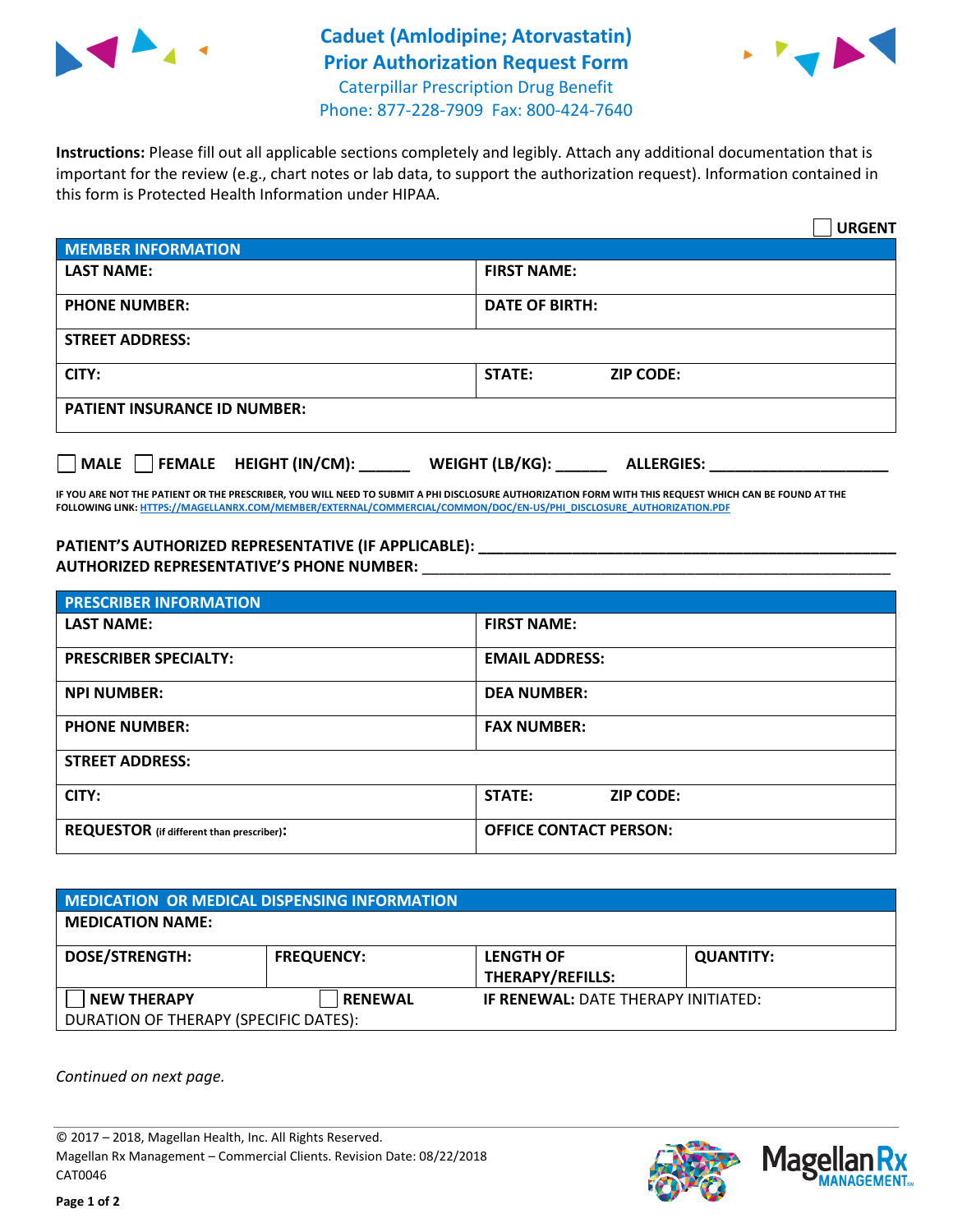

## **Caduet (Amlodipine; Atorvastatin) Prior Authorization Request Form** Caterpillar Prescription Drug Benefit



Phone: 877-228-7909 Fax: 800-424-7640

**Instructions:** Please fill out all applicable sections completely and legibly. Attach any additional documentation that is important for the review (e.g., chart notes or lab data, to support the authorization request). Information contained in this form is Protected Health Information under HIPAA.

|                                           | <b>URGENT</b>                        |  |  |  |
|-------------------------------------------|--------------------------------------|--|--|--|
| <b>MEMBER INFORMATION</b>                 |                                      |  |  |  |
| <b>LAST NAME:</b>                         | <b>FIRST NAME:</b>                   |  |  |  |
| <b>PHONE NUMBER:</b>                      | <b>DATE OF BIRTH:</b>                |  |  |  |
| <b>STREET ADDRESS:</b>                    |                                      |  |  |  |
| CITY:                                     | <b>STATE:</b><br><b>ZIP CODE:</b>    |  |  |  |
| <b>PATIENT INSURANCE ID NUMBER:</b>       |                                      |  |  |  |
| $\Box$ FEMALE HEIGHT (IN/CM): _<br>  MALE | WEIGHT (LB/KG):<br><b>ALLERGIES:</b> |  |  |  |

**IF YOU ARE NOT THE PATIENT OR THE PRESCRIBER, YOU WILL NEED TO SUBMIT A PHI DISCLOSURE AUTHORIZATION FORM WITH THIS REQUEST WHICH CAN BE FOUND AT THE FOLLOWING LINK[: HTTPS://MAGELLANRX.COM/MEMBER/EXTERNAL/COMMERCIAL/COMMON/DOC/EN-US/PHI\\_DISCLOSURE\\_AUTHORIZATION.PDF](https://magellanrx.com/member/external/commercial/common/doc/en-us/PHI_Disclosure_Authorization.pdf)**

**PATIENT'S AUTHORIZED REPRESENTATIVE (IF APPLICABLE): \_\_\_\_\_\_\_\_\_\_\_\_\_\_\_\_\_\_\_\_\_\_\_\_\_\_\_\_\_\_\_\_\_\_\_\_\_\_\_\_\_\_\_\_\_\_\_\_\_ AUTHORIZED REPRESENTATIVE'S PHONE NUMBER:** \_\_\_\_\_\_\_\_\_\_\_\_\_\_\_\_\_\_\_\_\_\_\_\_\_\_\_\_\_\_\_\_\_\_\_\_\_\_\_\_\_\_\_\_\_\_\_\_\_\_\_\_\_\_\_

| <b>PRESCRIBER INFORMATION</b>             |                               |  |
|-------------------------------------------|-------------------------------|--|
| <b>LAST NAME:</b>                         | <b>FIRST NAME:</b>            |  |
| <b>PRESCRIBER SPECIALTY:</b>              | <b>EMAIL ADDRESS:</b>         |  |
| <b>NPI NUMBER:</b>                        | <b>DEA NUMBER:</b>            |  |
| <b>PHONE NUMBER:</b>                      | <b>FAX NUMBER:</b>            |  |
| <b>STREET ADDRESS:</b>                    |                               |  |
| CITY:                                     | STATE:<br><b>ZIP CODE:</b>    |  |
| REQUESTOR (if different than prescriber): | <b>OFFICE CONTACT PERSON:</b> |  |

| <b>MEDICATION OR MEDICAL DISPENSING INFORMATION</b> |                   |                                            |                  |  |  |
|-----------------------------------------------------|-------------------|--------------------------------------------|------------------|--|--|
| <b>MEDICATION NAME:</b>                             |                   |                                            |                  |  |  |
| <b>DOSE/STRENGTH:</b>                               | <b>FREQUENCY:</b> | <b>LENGTH OF</b>                           | <b>QUANTITY:</b> |  |  |
|                                                     |                   | <b>THERAPY/REFILLS:</b>                    |                  |  |  |
| <b>NEW THERAPY</b>                                  | <b>RENEWAL</b>    | <b>IF RENEWAL: DATE THERAPY INITIATED:</b> |                  |  |  |
| DURATION OF THERAPY (SPECIFIC DATES):               |                   |                                            |                  |  |  |

*Continued on next page.*

© 2017 – 2018, Magellan Health, Inc. All Rights Reserved. Magellan Rx Management – Commercial Clients. Revision Date: 08/22/2018 CAT0046